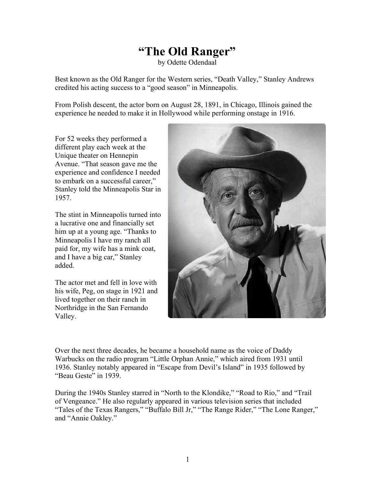## **"The Old Ranger"**

by Odette Odendaal

Best known as the Old Ranger for the Western series, "Death Valley," Stanley Andrews credited his acting success to a "good season" in Minneapolis.

From Polish descent, the actor born on August 28, 1891, in Chicago, Illinois gained the experience he needed to make it in Hollywood while performing onstage in 1916.

For 52 weeks they performed a different play each week at the Unique theater on Hennepin Avenue. "That season gave me the experience and confidence I needed to embark on a successful career," Stanley told the Minneapolis Star in 1957.

The stint in Minneapolis turned into a lucrative one and financially set him up at a young age. "Thanks to Minneapolis I have my ranch all paid for, my wife has a mink coat, and I have a big car," Stanley added.

The actor met and fell in love with his wife, Peg, on stage in 1921 and lived together on their ranch in Northridge in the San Fernando Valley.



Over the next three decades, he became a household name as the voice of Daddy Warbucks on the radio program "Little Orphan Annie," which aired from 1931 until 1936. Stanley notably appeared in "Escape from Devil's Island" in 1935 followed by "Beau Geste" in 1939.

During the 1940s Stanley starred in "North to the Klondike," "Road to Rio," and "Trail of Vengeance." He also regularly appeared in various television series that included "Tales of the Texas Rangers," "Buffalo Bill Jr," "The Range Rider," "The Lone Ranger," and "Annie Oakley."